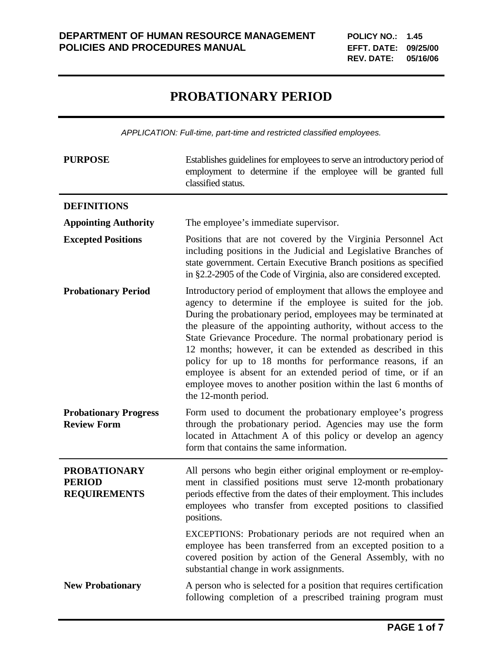## **PROBATIONARY PERIOD**

*APPLICATION: Full-time, part-time and restricted classified employees.*

| <b>PURPOSE</b>                                              | Establishes guidelines for employees to serve an introductory period of<br>employment to determine if the employee will be granted full<br>classified status.                                                                                                                                                                                                                                                                                                                                                                                                                                                          |
|-------------------------------------------------------------|------------------------------------------------------------------------------------------------------------------------------------------------------------------------------------------------------------------------------------------------------------------------------------------------------------------------------------------------------------------------------------------------------------------------------------------------------------------------------------------------------------------------------------------------------------------------------------------------------------------------|
| <b>DEFINITIONS</b>                                          |                                                                                                                                                                                                                                                                                                                                                                                                                                                                                                                                                                                                                        |
| <b>Appointing Authority</b>                                 | The employee's immediate supervisor.                                                                                                                                                                                                                                                                                                                                                                                                                                                                                                                                                                                   |
| <b>Excepted Positions</b>                                   | Positions that are not covered by the Virginia Personnel Act<br>including positions in the Judicial and Legislative Branches of<br>state government. Certain Executive Branch positions as specified<br>in §2.2-2905 of the Code of Virginia, also are considered excepted.                                                                                                                                                                                                                                                                                                                                            |
| <b>Probationary Period</b>                                  | Introductory period of employment that allows the employee and<br>agency to determine if the employee is suited for the job.<br>During the probationary period, employees may be terminated at<br>the pleasure of the appointing authority, without access to the<br>State Grievance Procedure. The normal probationary period is<br>12 months; however, it can be extended as described in this<br>policy for up to 18 months for performance reasons, if an<br>employee is absent for an extended period of time, or if an<br>employee moves to another position within the last 6 months of<br>the 12-month period. |
| <b>Probationary Progress</b><br><b>Review Form</b>          | Form used to document the probationary employee's progress<br>through the probationary period. Agencies may use the form<br>located in Attachment A of this policy or develop an agency<br>form that contains the same information.                                                                                                                                                                                                                                                                                                                                                                                    |
| <b>PROBATIONARY</b><br><b>PERIOD</b><br><b>REQUIREMENTS</b> | All persons who begin either original employment or re-employ-<br>ment in classified positions must serve 12-month probationary<br>periods effective from the dates of their employment. This includes<br>employees who transfer from excepted positions to classified<br>positions.                                                                                                                                                                                                                                                                                                                                   |
|                                                             | EXCEPTIONS: Probationary periods are not required when an<br>employee has been transferred from an excepted position to a<br>covered position by action of the General Assembly, with no<br>substantial change in work assignments.                                                                                                                                                                                                                                                                                                                                                                                    |
| <b>New Probationary</b>                                     | A person who is selected for a position that requires certification<br>following completion of a prescribed training program must                                                                                                                                                                                                                                                                                                                                                                                                                                                                                      |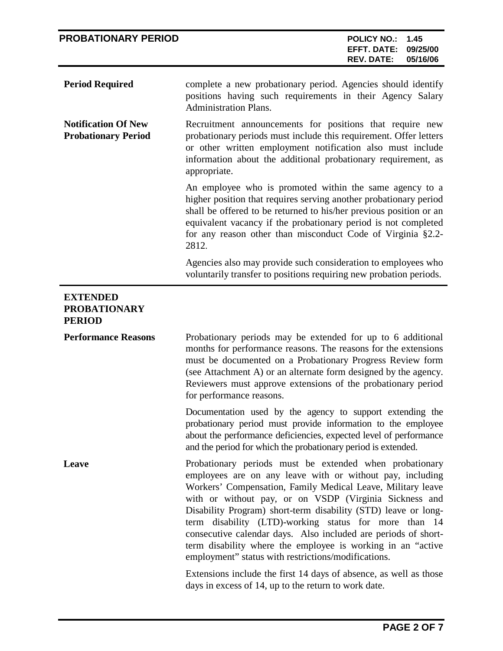| <b>PROBATIONARY PERIOD</b>                               | <b>POLICY NO.:</b><br>1.45<br><b>EFFT. DATE:</b><br>09/25/00<br>05/16/06<br><b>REV. DATE:</b>                                                                                                                                                                                                                                                                                                                                                                                                                                                                    |
|----------------------------------------------------------|------------------------------------------------------------------------------------------------------------------------------------------------------------------------------------------------------------------------------------------------------------------------------------------------------------------------------------------------------------------------------------------------------------------------------------------------------------------------------------------------------------------------------------------------------------------|
| <b>Period Required</b>                                   | complete a new probationary period. Agencies should identify<br>positions having such requirements in their Agency Salary<br><b>Administration Plans.</b>                                                                                                                                                                                                                                                                                                                                                                                                        |
| <b>Notification Of New</b><br><b>Probationary Period</b> | Recruitment announcements for positions that require new<br>probationary periods must include this requirement. Offer letters<br>or other written employment notification also must include<br>information about the additional probationary requirement, as<br>appropriate.                                                                                                                                                                                                                                                                                     |
|                                                          | An employee who is promoted within the same agency to a<br>higher position that requires serving another probationary period<br>shall be offered to be returned to his/her previous position or an<br>equivalent vacancy if the probationary period is not completed<br>for any reason other than misconduct Code of Virginia §2.2-<br>2812.                                                                                                                                                                                                                     |
|                                                          | Agencies also may provide such consideration to employees who<br>voluntarily transfer to positions requiring new probation periods.                                                                                                                                                                                                                                                                                                                                                                                                                              |
| <b>EXTENDED</b><br><b>PROBATIONARY</b><br><b>PERIOD</b>  |                                                                                                                                                                                                                                                                                                                                                                                                                                                                                                                                                                  |
| <b>Performance Reasons</b>                               | Probationary periods may be extended for up to 6 additional<br>months for performance reasons. The reasons for the extensions<br>must be documented on a Probationary Progress Review form<br>(see Attachment A) or an alternate form designed by the agency.<br>Reviewers must approve extensions of the probationary period<br>for performance reasons.                                                                                                                                                                                                        |
|                                                          | Documentation used by the agency to support extending the<br>probationary period must provide information to the employee<br>about the performance deficiencies, expected level of performance<br>and the period for which the probationary period is extended.                                                                                                                                                                                                                                                                                                  |
| Leave                                                    | Probationary periods must be extended when probationary<br>employees are on any leave with or without pay, including<br>Workers' Compensation, Family Medical Leave, Military leave<br>with or without pay, or on VSDP (Virginia Sickness and<br>Disability Program) short-term disability (STD) leave or long-<br>term disability (LTD)-working status for more than 14<br>consecutive calendar days. Also included are periods of short-<br>term disability where the employee is working in an "active<br>employment" status with restrictions/modifications. |
|                                                          | Extensions include the first 14 days of absence, as well as those<br>days in excess of 14, up to the return to work date.                                                                                                                                                                                                                                                                                                                                                                                                                                        |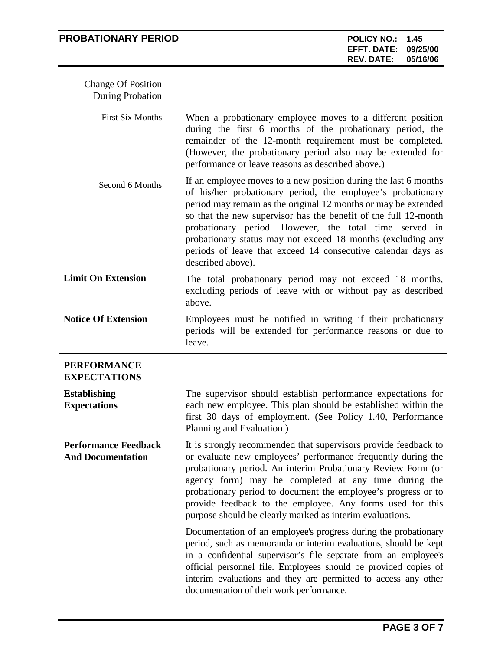| <b>PROBATIONARY PERIOD</b>                              |                                                                                                                                                                                                                                                                                                                                                                                                                                                                                   | <b>POLICY NO.:</b><br><b>EFFT. DATE:</b><br><b>REV. DATE:</b> | 1.45<br>09/25/00<br>05/16/06 |
|---------------------------------------------------------|-----------------------------------------------------------------------------------------------------------------------------------------------------------------------------------------------------------------------------------------------------------------------------------------------------------------------------------------------------------------------------------------------------------------------------------------------------------------------------------|---------------------------------------------------------------|------------------------------|
| <b>Change Of Position</b><br><b>During Probation</b>    |                                                                                                                                                                                                                                                                                                                                                                                                                                                                                   |                                                               |                              |
| <b>First Six Months</b>                                 | When a probationary employee moves to a different position<br>during the first 6 months of the probationary period, the<br>remainder of the 12-month requirement must be completed.<br>(However, the probationary period also may be extended for<br>performance or leave reasons as described above.)                                                                                                                                                                            |                                                               |                              |
| Second 6 Months                                         | If an employee moves to a new position during the last 6 months<br>of his/her probationary period, the employee's probationary<br>period may remain as the original 12 months or may be extended<br>so that the new supervisor has the benefit of the full 12-month<br>probationary period. However, the total time served in<br>probationary status may not exceed 18 months (excluding any<br>periods of leave that exceed 14 consecutive calendar days as<br>described above). |                                                               |                              |
| <b>Limit On Extension</b>                               | The total probationary period may not exceed 18 months,<br>excluding periods of leave with or without pay as described<br>above.                                                                                                                                                                                                                                                                                                                                                  |                                                               |                              |
| <b>Notice Of Extension</b>                              | Employees must be notified in writing if their probationary<br>periods will be extended for performance reasons or due to<br>leave.                                                                                                                                                                                                                                                                                                                                               |                                                               |                              |
| <b>PERFORMANCE</b><br><b>EXPECTATIONS</b>               |                                                                                                                                                                                                                                                                                                                                                                                                                                                                                   |                                                               |                              |
| <b>Establishing</b><br><b>Expectations</b>              | The supervisor should establish performance expectations for<br>each new employee. This plan should be established within the<br>first 30 days of employment. (See Policy 1.40, Performance<br>Planning and Evaluation.)                                                                                                                                                                                                                                                          |                                                               |                              |
| <b>Performance Feedback</b><br><b>And Documentation</b> | It is strongly recommended that supervisors provide feedback to<br>or evaluate new employees' performance frequently during the<br>probationary period. An interim Probationary Review Form (or<br>agency form) may be completed at any time during the<br>probationary period to document the employee's progress or to<br>provide feedback to the employee. Any forms used for this<br>purpose should be clearly marked as interim evaluations.                                 |                                                               |                              |
|                                                         | Documentation of an employee's progress during the probationary<br>period, such as memoranda or interim evaluations, should be kept<br>in a confidential supervisor's file separate from an employee's<br>official personnel file. Employees should be provided copies of<br>interim evaluations and they are permitted to access any other<br>documentation of their work performance.                                                                                           |                                                               |                              |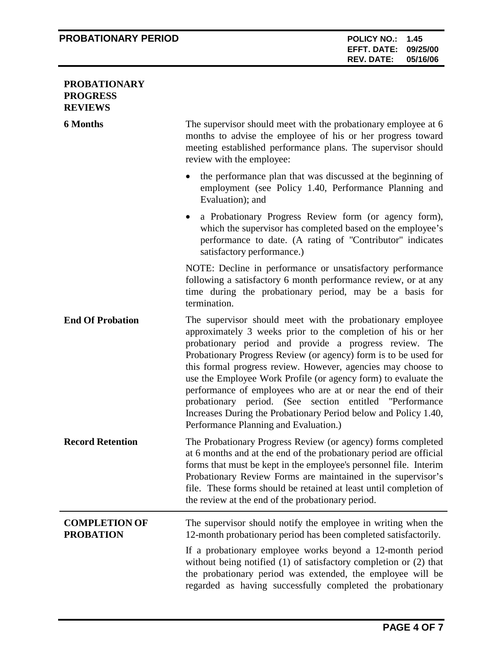## **PROBATIONARY PERIOD POLICY NO.: 1.45**

## **PROBATIONARY PROGRESS REVIEWS**

| <b>6 Months</b>                          | The supervisor should meet with the probationary employee at 6<br>months to advise the employee of his or her progress toward<br>meeting established performance plans. The supervisor should<br>review with the employee:                                                                                                                                                                                                                                                                                                                                                                                                     |
|------------------------------------------|--------------------------------------------------------------------------------------------------------------------------------------------------------------------------------------------------------------------------------------------------------------------------------------------------------------------------------------------------------------------------------------------------------------------------------------------------------------------------------------------------------------------------------------------------------------------------------------------------------------------------------|
|                                          | the performance plan that was discussed at the beginning of<br>employment (see Policy 1.40, Performance Planning and<br>Evaluation); and                                                                                                                                                                                                                                                                                                                                                                                                                                                                                       |
|                                          | a Probationary Progress Review form (or agency form),<br>which the supervisor has completed based on the employee's<br>performance to date. (A rating of "Contributor" indicates<br>satisfactory performance.)                                                                                                                                                                                                                                                                                                                                                                                                                 |
|                                          | NOTE: Decline in performance or unsatisfactory performance<br>following a satisfactory 6 month performance review, or at any<br>time during the probationary period, may be a basis for<br>termination.                                                                                                                                                                                                                                                                                                                                                                                                                        |
| <b>End Of Probation</b>                  | The supervisor should meet with the probationary employee<br>approximately 3 weeks prior to the completion of his or her<br>probationary period and provide a progress review. The<br>Probationary Progress Review (or agency) form is to be used for<br>this formal progress review. However, agencies may choose to<br>use the Employee Work Profile (or agency form) to evaluate the<br>performance of employees who are at or near the end of their<br>probationary period. (See section entitled "Performance<br>Increases During the Probationary Period below and Policy 1.40,<br>Performance Planning and Evaluation.) |
| <b>Record Retention</b>                  | The Probationary Progress Review (or agency) forms completed<br>at 6 months and at the end of the probationary period are official<br>forms that must be kept in the employee's personnel file. Interim<br>Probationary Review Forms are maintained in the supervisor's<br>file. These forms should be retained at least until completion of<br>the review at the end of the probationary period.                                                                                                                                                                                                                              |
| <b>COMPLETION OF</b><br><b>PROBATION</b> | The supervisor should notify the employee in writing when the<br>12-month probationary period has been completed satisfactorily.<br>If a probationary employee works beyond a 12-month period<br>without being notified $(1)$ of satisfactory completion or $(2)$ that<br>the probationary period was extended, the employee will be<br>regarded as having successfully completed the probationary                                                                                                                                                                                                                             |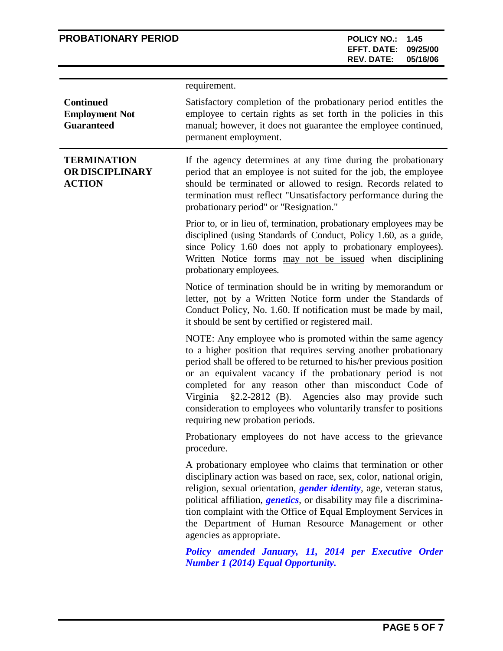## **PROBATIONARY PERIOD POLICY NO.: 1.45**

|                                                                | requirement.                                                                                                                                                                                                                                                                                                                                                                                                                                                                                     |
|----------------------------------------------------------------|--------------------------------------------------------------------------------------------------------------------------------------------------------------------------------------------------------------------------------------------------------------------------------------------------------------------------------------------------------------------------------------------------------------------------------------------------------------------------------------------------|
| <b>Continued</b><br><b>Employment Not</b><br><b>Guaranteed</b> | Satisfactory completion of the probationary period entitles the<br>employee to certain rights as set forth in the policies in this<br>manual; however, it does not guarantee the employee continued,<br>permanent employment.                                                                                                                                                                                                                                                                    |
| <b>TERMINATION</b><br>OR DISCIPLINARY<br><b>ACTION</b>         | If the agency determines at any time during the probationary<br>period that an employee is not suited for the job, the employee<br>should be terminated or allowed to resign. Records related to<br>termination must reflect "Unsatisfactory performance during the<br>probationary period" or "Resignation."                                                                                                                                                                                    |
|                                                                | Prior to, or in lieu of, termination, probationary employees may be<br>disciplined (using Standards of Conduct, Policy 1.60, as a guide,<br>since Policy 1.60 does not apply to probationary employees).<br>Written Notice forms may not be issued when disciplining<br>probationary employees.                                                                                                                                                                                                  |
|                                                                | Notice of termination should be in writing by memorandum or<br>letter, not by a Written Notice form under the Standards of<br>Conduct Policy, No. 1.60. If notification must be made by mail,<br>it should be sent by certified or registered mail.                                                                                                                                                                                                                                              |
|                                                                | NOTE: Any employee who is promoted within the same agency<br>to a higher position that requires serving another probationary<br>period shall be offered to be returned to his/her previous position<br>or an equivalent vacancy if the probationary period is not<br>completed for any reason other than misconduct Code of<br>§2.2-2812 (B). Agencies also may provide such<br>Virginia<br>consideration to employees who voluntarily transfer to positions<br>requiring new probation periods. |
|                                                                | Probationary employees do not have access to the grievance<br>procedure.                                                                                                                                                                                                                                                                                                                                                                                                                         |
|                                                                | A probationary employee who claims that termination or other<br>disciplinary action was based on race, sex, color, national origin,<br>religion, sexual orientation, <i>gender identity</i> , age, veteran status,<br>political affiliation, <i>genetics</i> , or disability may file a discrimina-<br>tion complaint with the Office of Equal Employment Services in<br>the Department of Human Resource Management or other<br>agencies as appropriate.                                        |
|                                                                | Policy amended January, 11, 2014 per Executive Order<br><b>Number 1 (2014) Equal Opportunity.</b>                                                                                                                                                                                                                                                                                                                                                                                                |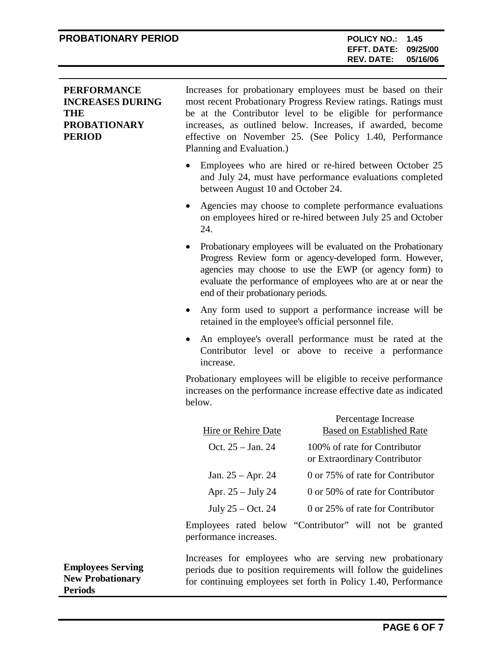| <b>PERFORMANCE</b><br><b>INCREASES DURING</b><br><b>THE</b><br><b>PROBATIONARY</b><br><b>PERIOD</b> | Increases for probationary employees must be based on their<br>most recent Probationary Progress Review ratings. Ratings must<br>be at the Contributor level to be eligible for performance<br>increases, as outlined below. Increases, if awarded, become<br>effective on November 25. (See Policy 1.40, Performance<br>Planning and Evaluation.) |
|-----------------------------------------------------------------------------------------------------|----------------------------------------------------------------------------------------------------------------------------------------------------------------------------------------------------------------------------------------------------------------------------------------------------------------------------------------------------|
|                                                                                                     | Employees who are hired or re-hired between October 25<br>and July 24, must have performance evaluations completed<br>between August 10 and October 24.                                                                                                                                                                                            |
|                                                                                                     | Agencies may choose to complete performance evaluations<br>on employees hired or re-hired between July 25 and October<br>24.                                                                                                                                                                                                                       |
|                                                                                                     | Probationary employees will be evaluated on the Probationary<br>$\bullet$<br>Progress Review form or agency-developed form. However,<br>agencies may choose to use the EWP (or agency form) to<br>evaluate the performance of employees who are at or near the<br>end of their probationary periods.                                               |
|                                                                                                     | Any form used to support a performance increase will be<br>$\bullet$<br>retained in the employee's official personnel file.                                                                                                                                                                                                                        |
|                                                                                                     | An employee's overall performance must be rated at the<br>Contributor level or above to receive a performance<br>increase.                                                                                                                                                                                                                         |
|                                                                                                     | Probationary employees will be eligible to receive performance<br>increases on the performance increase effective date as indicated<br>below.                                                                                                                                                                                                      |
|                                                                                                     | Percentage Increase                                                                                                                                                                                                                                                                                                                                |
|                                                                                                     | <b>Based on Established Rate</b><br>Hire or Rehire Date                                                                                                                                                                                                                                                                                            |
|                                                                                                     | 100% of rate for Contributor<br>Oct. 25 - Jan. 24<br>or Extraordinary Contributor                                                                                                                                                                                                                                                                  |
|                                                                                                     | 0 or 75% of rate for Contributor<br>Jan. $25 -$ Apr. 24                                                                                                                                                                                                                                                                                            |
|                                                                                                     | 0 or 50% of rate for Contributor<br>Apr. $25 - July 24$                                                                                                                                                                                                                                                                                            |
|                                                                                                     | July $25 - Oct. 24$<br>0 or 25% of rate for Contributor                                                                                                                                                                                                                                                                                            |
|                                                                                                     | Employees rated below "Contributor" will not be granted<br>performance increases.                                                                                                                                                                                                                                                                  |

Increases for employees who are serving new probationary periods due to position requirements will follow the guidelines for continuing employees set forth in Policy 1.40, Performance

**Employees Serving New Probationary Periods**